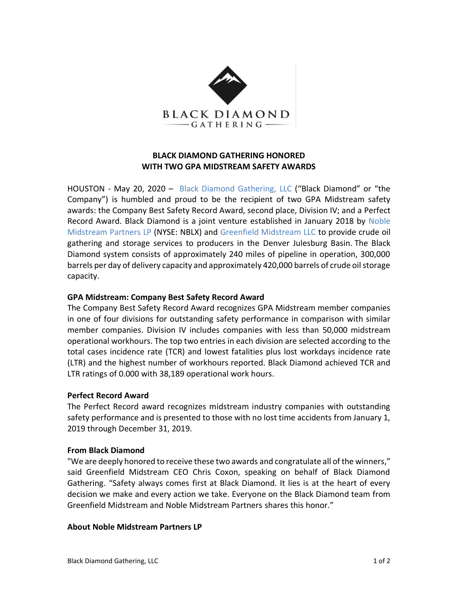

# **BLACK DIAMOND GATHERING HONORED WITH TWO GPA MIDSTREAM SAFETY AWARDS**

HOUSTON - May 20, 2020 – [Black Diamond Gathering, LLC](http://www.blackdiamondgathering.com/) ("Black Diamond" or "the Company") is humbled and proud to be the recipient of two GPA Midstream safety awards: the Company Best Safety Record Award, second place, Division IV; and a Perfect Record Award. Black Diamond is a joint venture established in January 2018 by [Noble](http://www.nblmidstream.com/)  [Midstream Partners LP](http://www.nblmidstream.com/) (NYSE: NBLX) and [Greenfield Midstream LLC](http://www.greenfieldmidstream.com/) to provide crude oil gathering and storage services to producers in the Denver Julesburg Basin. The Black Diamond system consists of approximately 240 miles of pipeline in operation, 300,000 barrels per day of delivery capacity and approximately 420,000 barrels of crude oil storage capacity.

## **GPA Midstream: Company Best Safety Record Award**

The Company Best Safety Record Award recognizes GPA Midstream member companies in one of four divisions for outstanding safety performance in comparison with similar member companies. Division IV includes companies with less than 50,000 midstream operational workhours. The top two entries in each division are selected according to the total cases incidence rate (TCR) and lowest fatalities plus lost workdays incidence rate (LTR) and the highest number of workhours reported. Black Diamond achieved TCR and LTR ratings of 0.000 with 38,189 operational work hours.

### **Perfect Record Award**

The Perfect Record award recognizes midstream industry companies with outstanding safety performance and is presented to those with no lost time accidents from January 1, 2019 through December 31, 2019.

### **From Black Diamond**

"We are deeply honored to receive these two awards and congratulate all of the winners," said Greenfield Midstream CEO Chris Coxon, speaking on behalf of Black Diamond Gathering. "Safety always comes first at Black Diamond. It lies is at the heart of every decision we make and every action we take. Everyone on the Black Diamond team from Greenfield Midstream and Noble Midstream Partners shares this honor."

### **About Noble Midstream Partners LP**